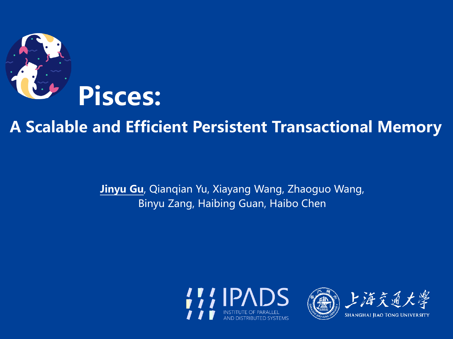

#### **A Scalable and Efficient Persistent Transactional Memory**

**Jinyu Gu**, Qianqian Yu, Xiayang Wang, Zhaoguo Wang, Binyu Zang, Haibing Guan, Haibo Chen





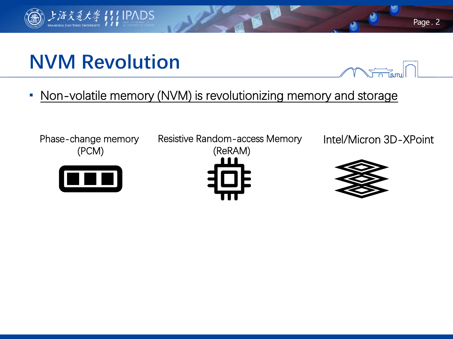## **NVM Revolution**

上海交通大學111 IPADS

**• Non-volatile memory (NVM) is revolutionizing memory and storage** 



Page . 2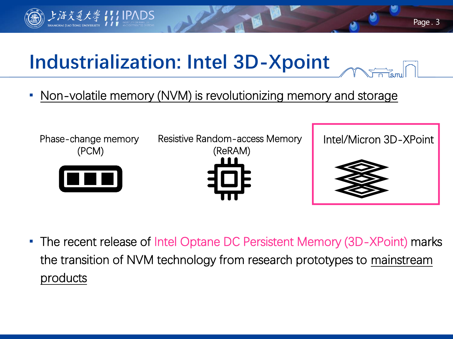

## **Industrialization: Intel 3D-Xpoint**

Non-volatile memory (NVM) is revolutionizing memory and storage



**The recent release of Intel Optane DC Persistent Memory (3D-XPoint) marks** the transition of NVM technology from research prototypes to mainstream products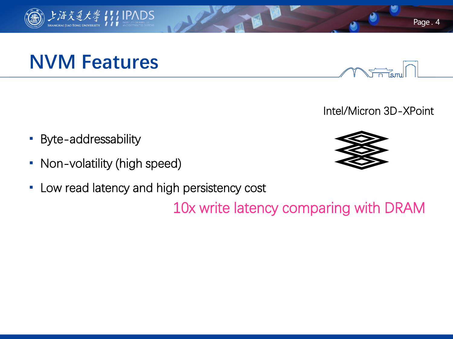

## **NVM Features**

- **Byte-addressability**
- Non-volatility (high speed)
- **-** Low read latency and high persistency cost

10x write latency comparing with DRAM





Intel/Micron 3D-XPoint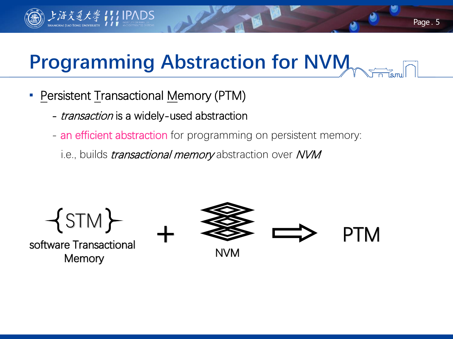# **Programming Abstraction for NVM**

Persistent Transactional Memory (PTM)

海交通大學 【1】IPADS

- *transaction* is a widely-used abstraction
- an efficient abstraction for programming on persistent memory:
	- i.e., builds *transactional memory* abstraction over NVM



software Transactional **Memory** 

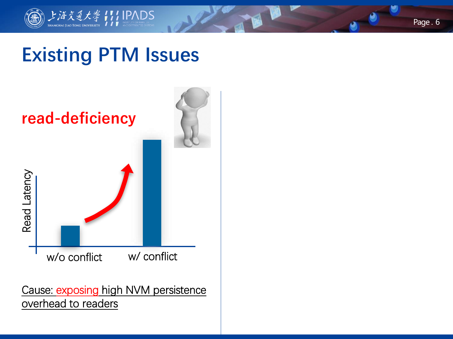

## **Existing PTM Issues**



Cause: exposing high NVM persistence overhead to readers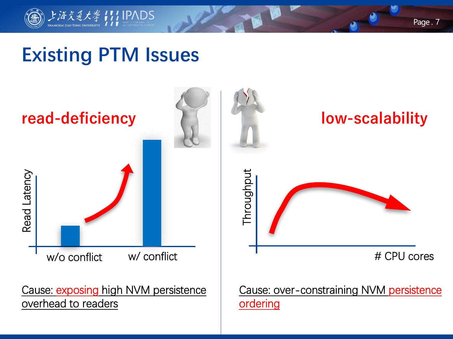

## **Existing PTM Issues**

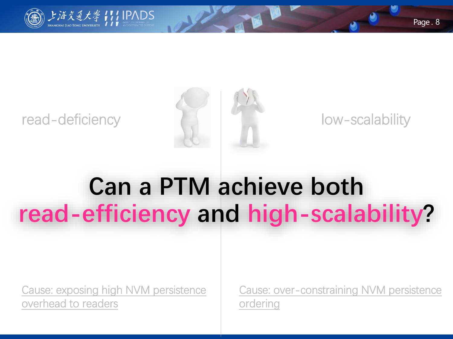

#### read-deficiency and the low-scalability



# **Can a PTM achieve both read-efficiency and high-scalability?**

Cause: exposing high NVM persistence overhead to readers

Cause: over-constraining NVM persistence ordering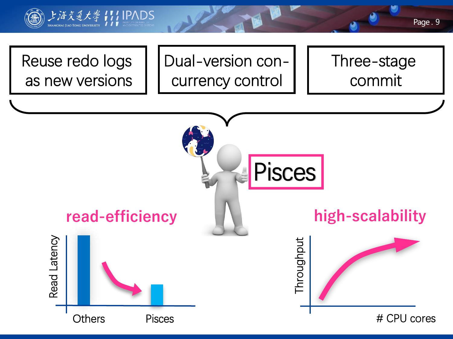